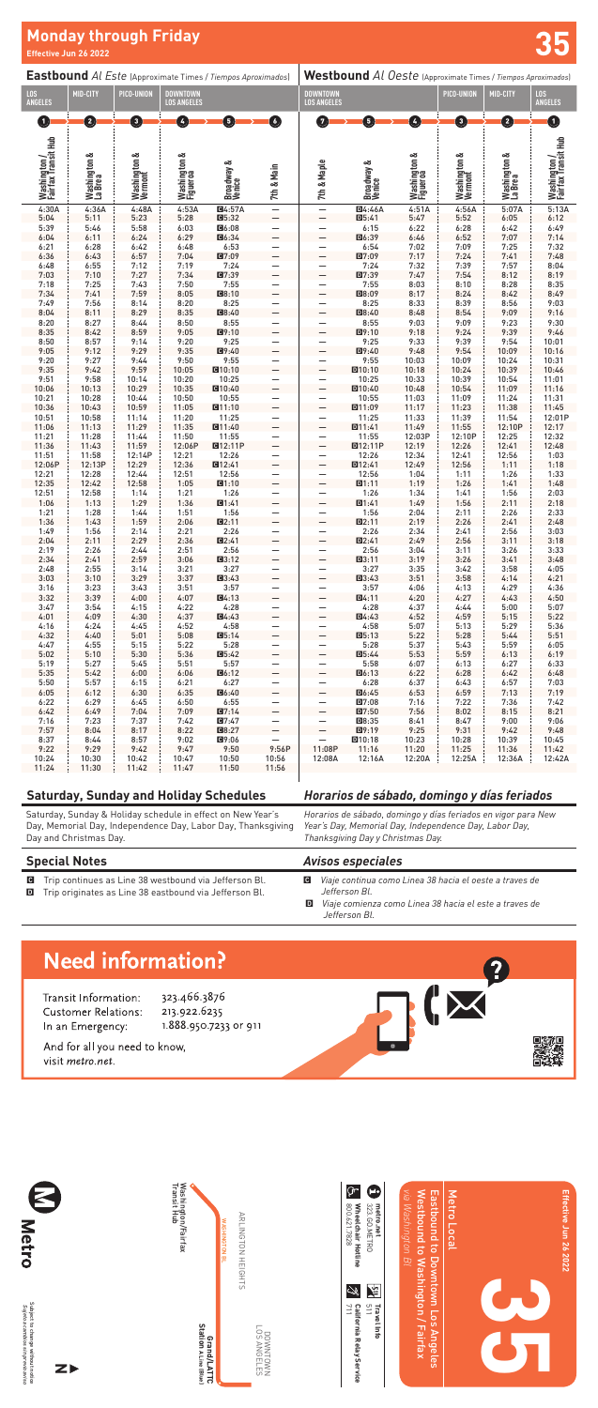**35**

Westbound to Washington / Fairfax Eastbound to Downtown Los Angeles

Vestbound to Washington / Fairfax Eastbound to Downtown Los Angeles

Washington/Fairfax<br>Transit Hub Transit Hub Washington/Fairfax WASHINGTON BL

> DOWNTOWN<br>LOS ANGELES LOS ANGELES DOWNTOWN



Metro Local

Metro Local

**Effective Jun 26 2022**

Effective Jun 26 2022

Subject to change without notice<br>*Sujeto a cambios sin previo aviso* Subject to change without notice *Sujeto a cambios sin previo aviso*



800.621.7828 800.621.7828

Wheelchair Hotline **Wheelchair Hotline**

metro.net<br>323.60.METRO **metro.net**

Ф

Ý, 711

California Relay Service **California Relay Service**

Grand/LATTC<br>Station A Line (Blue) **Station A Line (Blue) Grand/LATTC**

ARLINGTON HEIGHTS

ARLINGTON HEIGHTS

323.GO.METRO



**Travel Info** 

**Travel Info**



**VE** 

|                                     |                         |                              |                                       | Eastbound Al Este (Approximate Times / Tiempos Aproximados) |                               | Westbound Al Oeste (Approximate Times / Tiempos Aproximados) |                      |                          |                         |                         |                                     |
|-------------------------------------|-------------------------|------------------------------|---------------------------------------|-------------------------------------------------------------|-------------------------------|--------------------------------------------------------------|----------------------|--------------------------|-------------------------|-------------------------|-------------------------------------|
| LOS<br>Angeles                      | MID-CITY                | PICO-UNION                   | <b>DOWNTOWN</b><br><b>LOS ANGELES</b> |                                                             |                               | <b>DOWNTOWN</b><br><b>LOS ANGELES</b>                        |                      |                          | PICO-UNION              | MID-CITY                | LOS<br><b>ANGELES</b>               |
| $\blacksquare$                      | Ø                       | O                            | $\left  \right $                      | 6                                                           | ◑                             | $\overline{7}$                                               | $\sqrt{5}$           | Ø                        | €                       | Ø                       | O                                   |
| Washington /<br>Fairfax Transit Hub | Washington &<br>La Brea | ∞<br>Washington 8<br>Vermont | Washington &<br>Figueroa              | Broadway &<br>Venice                                        | 7th & Main                    | 7th & Maple                                                  | Broadway &<br>Venice | Washington &<br>Figueroa | Washington &<br>Vermont | Washington &<br>La Brea | Washington /<br>Fairfax Transit Hub |
| 4:30A                               | 4:36A                   | 4:48A                        | 4:53A                                 | Q4:57A                                                      | $\frac{1}{1}$                 |                                                              | <b>回4:46A</b>        | 4:51A                    | 4:56A                   | 5:07A                   | 5:13A                               |
| 5:04                                | 5:11                    | 5:23                         | 5:28                                  | 05:32                                                       |                               | $\equiv$                                                     | $D5:41$              | 5:47                     | 5:52                    | 6:05                    | 6:12                                |
| 5:39<br>6:04                        | 5:46<br>6:11            | 5:58<br>6:24                 | 6:03<br>6:29                          | 回6:08<br><b>回6:34</b>                                       | $\equiv$                      | $\overline{\phantom{0}}$                                     | 6:15<br>回6:39        | 6:22<br>6:46             | 6:28<br>6:52            | 6:42<br>7:07            | 6:49<br>7:14                        |
| 6:21                                | 6:28                    | 6:42                         | 6:48                                  | 6:53                                                        | —                             |                                                              | 6:54                 | 7:02                     | 7:09                    | 7:25                    | 7:32                                |
| 6:36                                | 6:43                    | 6:57                         | 7:04                                  | <b>回7:09</b>                                                |                               |                                                              | 回7:09                | 7:17                     | 7:24                    | 7:41                    | 7:48                                |
| 6:48                                | 6:55                    | 7:12                         | 7:19                                  | 7:24                                                        | $\equiv$                      |                                                              | 7:24                 | 7:32                     | 7:39                    | 7:57                    | 8:04                                |
| 7:03                                | 7:10                    | 7:27                         | 7:34                                  | 回7:39                                                       |                               |                                                              | 回7:39                | 7:47                     | 7:54                    | 8:12                    | 8:19                                |
| 7:18<br>7:34                        | 7:25<br>7:41            | 7:43<br>7:59                 | 7:50<br>8:05                          | 7:55<br>图8:10                                               | $\equiv$                      | $\overline{\phantom{0}}$                                     | 7:55<br>回8:09        | 8:03<br>8:17             | 8:10<br>8:24            | 8:28<br>8:42            | 8:35<br>8:49                        |
| 7:49                                | 7:56                    | 8:14                         | 8:20                                  | 8:25                                                        | -                             |                                                              | 8:25                 | 8:33                     | 8:39                    | 8:56                    | 9:03                                |
| 8:04                                | 8:11                    | 8:29                         | 8:35                                  | <b>回8:40</b>                                                |                               |                                                              | 回8:40                | 8:48                     | 8:54                    | 9:09                    | 9:16                                |
| 8:20                                | 8:27                    | 8:44                         | 8:50                                  | 8:55                                                        | $\equiv$                      |                                                              | 8:55                 | 9:03                     | 9:09                    | 9:23                    | 9:30                                |
| 8:35<br>8:50                        | 8:42<br>8:57            | 8:59<br>9:14                 | 9:05<br>9:20                          | 图9:10<br>9:25                                               |                               |                                                              | 回9:10<br>9:25        | 9:18<br>9:33             | 9:24<br>9:39            | 9:39<br>9:54            | 9:46<br>10:01                       |
| 9:05                                | 9:12                    | 9:29                         | 9:35                                  | 图9:40                                                       | $\equiv$                      |                                                              | 回9:40                | 9:48                     | 9:54                    | 10:09                   | 10:16                               |
| 9:20                                | 9:27                    | 9:44                         | 9:50                                  | 9:55                                                        | —                             |                                                              | 9:55                 | 10:03                    | 10:09                   | 10:24                   | 10:31                               |
| 9:35                                | 9:42                    | 9:59                         | 10:05                                 | <b>回10:10</b>                                               |                               |                                                              | D10:10               | 10:18                    | 10:24                   | 10:39                   | 10:46                               |
| 9:51<br>10:06                       | 9:58<br>10:13           | 10:14<br>10:29               | 10:20<br>10:35                        | 10:25<br><b>回10:40</b>                                      | $\equiv$                      | -                                                            | 10:25<br>D10:40      | 10:33<br>10:48           | 10:39<br>10:54          | 10:54<br>11:09          | 11:01<br>11:16                      |
| 10:21                               | 10:28                   | 10:44                        | 10:50                                 | 10:55                                                       |                               |                                                              | 10:55                | 11:03                    | 11:09                   | 11:24                   | 11:31                               |
| 10:36                               | 10:43                   | 10:59                        | 11:05                                 | Q11:10                                                      | $\equiv$                      | $\overline{\phantom{0}}$                                     | 回11:09               | 11:17                    | 11:23                   | 11:38                   | 11:45                               |
| 10:51                               | 10:58                   | 11:14                        | 11:20                                 | 11:25                                                       | —                             |                                                              | 11:25                | 11:33                    | 11:39                   | 11:54                   | 12:01P                              |
| 11:06<br>11:21                      | 11:13<br>11:28          | 11:29<br>11:44               | 11:35<br>11:50                        | <b>011:40</b><br>11:55                                      |                               |                                                              | D11:41<br>11:55      | 11:49<br>12:03P          | 11:55<br>12:10P         | 12:10P<br>12:25         | 12:17<br>12:32                      |
| 11:36                               | 11:43                   | 11:59                        | 12:06P                                | <b>@12:11P</b>                                              | $\equiv$                      |                                                              | <b>D12:11P</b>       | 12:19                    | 12:26                   | 12:41                   | 12:48                               |
| 11:51                               | 11:58                   | 12:14P                       | 12:21                                 | 12:26                                                       |                               |                                                              | 12:26                | 12:34                    | 12:41                   | 12:56                   | 1:03                                |
| 12:06P                              | 12:13P                  | 12:29                        | 12:36                                 | 图12:41                                                      | $\equiv$                      | $\overline{\phantom{0}}$                                     | D12:41               | 12:49                    | 12:56                   | 1:11                    | 1:18                                |
| 12:21<br>12:35                      | 12:28<br>12:42          | 12:44                        | 12:51<br>1:05                         | 12:56<br>01:10                                              | —                             |                                                              | 12:56                | 1:04<br>1:19             | 1:11<br>1:26            | 1:26                    | 1:33<br>1:48                        |
| 12:51                               | 12:58                   | 12:58<br>1:14                | 1:21                                  | 1:26                                                        |                               |                                                              | D1:11<br>1:26        | 1:34                     | 1:41                    | 1:41<br>1:56            | 2:03                                |
| 1:06                                | 1:13                    | 1:29                         | 1:36                                  | 61:41                                                       | $\equiv$                      |                                                              | D1:41                | 1:49                     | 1:56                    | 2:11                    | 2:18                                |
| 1:21                                | 1:28                    | 1:44                         | 1:51                                  | 1:56                                                        | $\equiv$                      |                                                              | 1:56                 | 2:04                     | 2:11                    | 2:26                    | 2:33                                |
| 1:36<br>1:49                        | 1:43<br>1:56            | 1:59<br>2:14                 | 2:06<br>2:21                          | Q:11<br>2:26                                                |                               | $\overline{\phantom{0}}$                                     | D2:11<br>2:26        | 2:19<br>2:34             | 2:26<br>2:41            | 2:41<br>2:56            | 2:48<br>3:03                        |
| 2:04                                | 2:11                    | 2:29                         | 2:36                                  | Q2:41                                                       |                               |                                                              | D2:41                | 2:49                     | 2:56                    | 3:11                    | 3:18                                |
| 2:19                                | 2:26                    | 2:44                         | 2:51                                  | 2:56                                                        | —                             |                                                              | 2:56                 | 3:04                     | 3:11                    | 3:26                    | 3:33                                |
| 2:34                                | 2:41                    | 2:59                         | 3:06                                  | Q3:12                                                       | $\overline{\phantom{0}}$      |                                                              | D3:11                | 3:19                     | 3:26                    | 3:41                    | 3:48                                |
| 2:48<br>3:03                        | 2:55<br>3:10            | 3:14<br>3:29                 | 3:21<br>3:37                          | 3:27<br>图3:43                                               | $\equiv$                      |                                                              | 3:27<br>$□3:43$      | 3:35<br>3:51             | 3:42<br>3:58            | 3:58<br>4:14            | 4:05                                |
| 3:16                                | 3:23                    | 3:43                         | 3:51                                  | 3:57                                                        |                               |                                                              | 3:57                 | 4:06                     | 4:13                    | 4:29                    | 4:21<br>4:36                        |
| 3:32                                | 3:39                    | 4:00                         | 4:07                                  | Q4:13                                                       |                               |                                                              | D4:11                | 4:20                     | 4:27                    | 4:43                    | 4:50                                |
| 3:47                                | 3:54                    | 4:15                         | 4:22                                  | 4:28                                                        | —                             | —                                                            | 4:28                 | 4:37                     | 4:44                    | 5:00                    | 5:07                                |
| 4:01                                | 4:09                    | 4:30                         | 4:37                                  | Q4:43                                                       | $\overline{\phantom{0}}$      | $\overline{\phantom{0}}$                                     | D4:43                | 4:52                     | 4:59                    | 5:15                    | 5:22                                |
| 4:16<br>4:32                        | 4:24<br>4:40            | 4:45<br>5:01                 | 4:52<br>5:08                          | 4:58<br>05:14                                               | $\equiv$                      | —<br>$\overline{a}$                                          | 4:58<br>$Q5:13$      | 5:07<br>5:22             | 5:13<br>5:28            | 5:29<br>5:44            | 5:36<br>5:51                        |
| 4:47                                | 4:55                    | 5:15                         | 5:22                                  | 5:28                                                        | —                             | —                                                            | 5:28                 | 5:37                     | 5:43                    | 5:59                    | 6:05                                |
| 5:02                                | 5:10                    | 5:30                         | 5:36                                  | 05:42                                                       | $\overline{\phantom{0}}$      | $\overline{\phantom{0}}$                                     | $Q5:44$              | 5:53                     | 5:59                    | 6:13                    | 6:19                                |
| 5:19                                | 5:27                    | 5:45                         | 5:51                                  | 5:57                                                        | $\equiv$                      | -                                                            | 5:58                 | 6:07                     | 6:13                    | 6:27                    | 6:33                                |
| 5:35<br>5:50                        | 5:42<br>5:57            | 6:00<br>6:15                 | 6:06<br>6:21                          | 06:12<br>6:27                                               |                               | $\overline{\phantom{0}}$                                     | $D6:13$<br>6:28      | 6:22<br>6:37             | 6:28<br>6:43            | 6:42<br>6:57            | 6:48<br>7:03                        |
| 6:05                                | 6:12                    | 6:30                         | 6:35                                  | <b>回6:40</b>                                                | $\equiv$                      | $\equiv$                                                     | 回6:45                | 6:53                     | 6:59                    | 7:13                    | 7:19                                |
| 6:22                                | 6:29                    | 6:45                         | 6:50                                  | 6:55                                                        | —                             | —                                                            | D7:08                | 7:16                     | 7:22                    | 7:36                    | 7:42                                |
| 6:42                                | 6:49                    | 7:04                         | 7:09                                  | Q7:14                                                       | $\overline{\phantom{0}}$      | $\overline{a}$                                               | $\Box$ 7:50          | 7:56                     | 8:02                    | 8:15                    | 8:21                                |
| 7:16                                | 7:23                    | 7:37                         | 7:42                                  | Q7:47                                                       | —<br>$\overline{\phantom{0}}$ | —<br>$\overline{\phantom{0}}$                                | ■8:35                | 8:41                     | 8:47                    | 9:00                    | 9:06                                |
| 7:57<br>8:37                        | 8:04<br>8:44            | 8:17<br>8:57                 | 8:22<br>9:02                          | <b>回8:27</b><br>回9:06                                       | $\overline{\phantom{0}}$      | $\overline{\phantom{0}}$                                     | 回9:19<br>$\Pi$ 10:18 | 9:25<br>10:23            | 9:31<br>10:28           | 9:42<br>10:39           | 9:48<br>10:45                       |
| 9:22                                | 9:29                    | 9:42                         | 9:47                                  | 9:50                                                        | 9:56P                         | 11:08P                                                       | 11:16                | 11:20                    | 11:25                   | 11:36                   | 11:42                               |
| 10:24                               | 10:30                   | 10:42                        | 10:47                                 | 10:50                                                       | 10:56                         | 12:08A                                                       | 12:16A               | 12:20A                   | 12:25A                  | 12:36A                  | 12:42A                              |
| 11:24                               | 11:30                   | 11:42                        | 11:47                                 | 11:50                                                       | 11:56                         |                                                              |                      |                          |                         |                         |                                     |

### **Saturday, Sunday and Holiday Schedules**

Saturday, Sunday & Holiday schedule in effect on New Year's Day, Memorial Day, Independence Day, Labor Day, Thanksgiving Day and Christmas Day.

#### *Horarios de sábado, domingo y días feriados*

*Horarios de sábado, domingo y días feriados en vigor para New Year's Day, Memorial Day, Independence Day, Labor Day, Thanksgiving Day y Christmas Day.*

### **Special Notes**

C Trip continues as Line 38 westbound via Jefferson Bl.

D Trip originates as Line 38 eastbound via Jefferson Bl.

#### *Avisos especiales*

- C *Viaje continua como Linea 38 hacia el oeste a traves de Jefferson Bl.*
- D *Viaje comienza como Linea 38 hacia el este a traves de Jefferson Bl.*

## **Need information?**

Transit Information: Customer Relations: In an Emergency:

323.466.3876 213.922.6235 1.888.950.7233 or 911